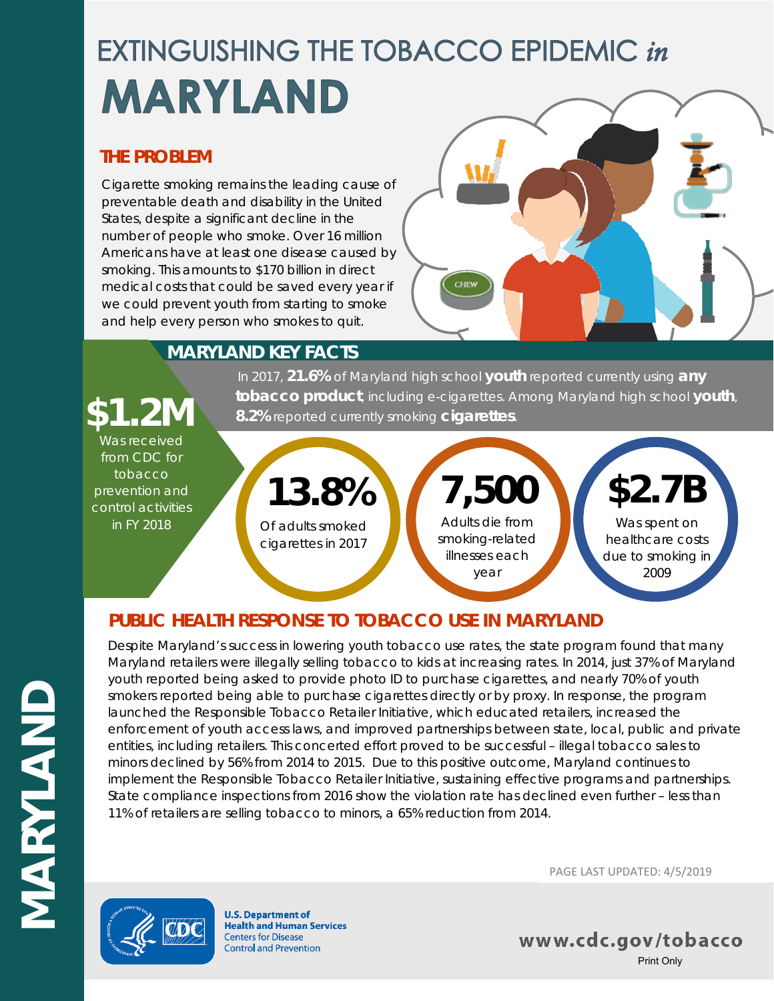# **EXTINGUISHING THE TOBACCO EPIDEMIC in MARYLAND**

### **THE PROBLEM**

Cigarette smoking remains the leading cause of preventable death and disability in the United States, despite a significant decline in the number of people who smoke. Over 16 million Americans have at least one disease caused by smoking. This amounts to \$170 billion in direct medical costs that could be saved every year if we could prevent youth from starting to smoke and help every person who smokes to quit.



### **MARYLAND KEY FACTS**

In 2017, **21.6%** of Maryland high school **youth** reported currently using **any tobacco product**, including e-cigarettes. Among Maryland high school **youth**, **\$1.2M 8.2%** reported currently smoking **cigarettes**.

#### Was received from CDC for tobacco prevention and control activities

in FY 2018

Of adults smoked cigarettes in 2017 **13.8%**

Adults die from smoking-related illnesses each year **7,500**

## Was spent on **\$2.7B**

healthcare costs due to smoking in 2009

### **PUBLIC HEALTH RESPONSE TO TOBACCO USE IN MARYLAND**

Despite Maryland's success in lowering youth tobacco use rates, the state program found that many Maryland retailers were illegally selling tobacco to kids at increasing rates. In 2014, just 37% of Maryland youth reported being asked to provide photo ID to purchase cigarettes, and nearly 70% of youth smokers reported being able to purchase cigarettes directly or by proxy. In response, the program launched the Responsible Tobacco Retailer Initiative, which educated retailers, increased the enforcement of youth access laws, and improved partnerships between state, local, public and private entities, including retailers. This concerted effort proved to be successful – illegal tobacco sales to minors declined by 56% from 2014 to 2015. Due to this positive outcome, Maryland continues to implement the Responsible Tobacco Retailer Initiative, sustaining effective programs and partnerships. State compliance inspections from 2016 show the violation rate has declined even further – less than 11% of retailers are selling tobacco to minors, a 65% reduction from 2014.



**U.S. Department of Health and Human Services Centers for Disease Control and Prevention** 

PAGE LAST UPDATED: 4/5/2019

www.cdc.gov/tobacco Print Only